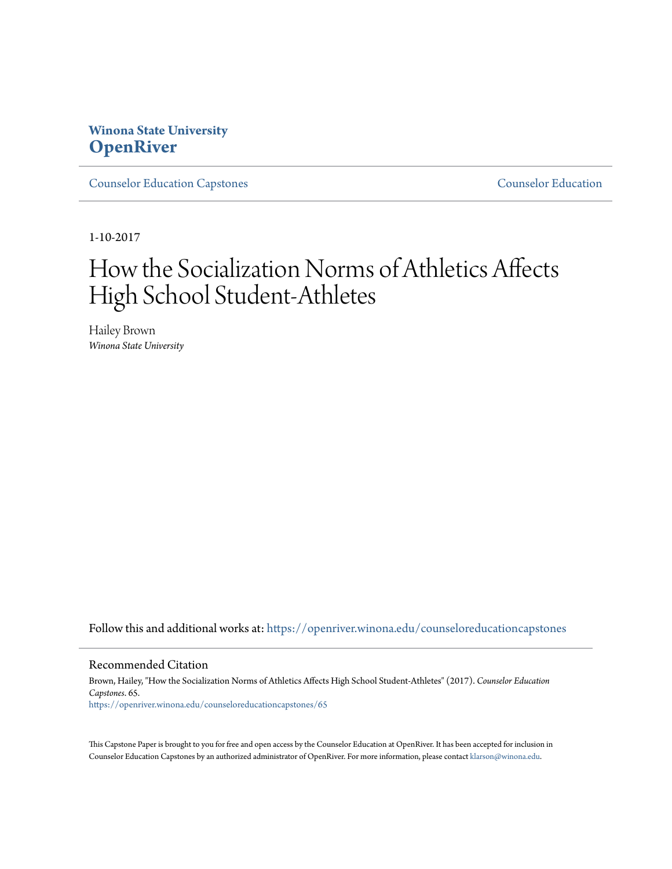## **Winona State University [OpenRiver](https://openriver.winona.edu?utm_source=openriver.winona.edu%2Fcounseloreducationcapstones%2F65&utm_medium=PDF&utm_campaign=PDFCoverPages)**

[Counselor Education Capstones](https://openriver.winona.edu/counseloreducationcapstones?utm_source=openriver.winona.edu%2Fcounseloreducationcapstones%2F65&utm_medium=PDF&utm_campaign=PDFCoverPages) [Counselor Education](https://openriver.winona.edu/counseloreducation?utm_source=openriver.winona.edu%2Fcounseloreducationcapstones%2F65&utm_medium=PDF&utm_campaign=PDFCoverPages)

1-10-2017

# How the Socialization Norms of Athletics Affects High School Student-Athletes

Hailey Brown *Winona State University*

Follow this and additional works at: [https://openriver.winona.edu/counseloreducationcapstones](https://openriver.winona.edu/counseloreducationcapstones?utm_source=openriver.winona.edu%2Fcounseloreducationcapstones%2F65&utm_medium=PDF&utm_campaign=PDFCoverPages)

#### Recommended Citation

Brown, Hailey, "How the Socialization Norms of Athletics Affects High School Student-Athletes" (2017). *Counselor Education Capstones*. 65. [https://openriver.winona.edu/counseloreducationcapstones/65](https://openriver.winona.edu/counseloreducationcapstones/65?utm_source=openriver.winona.edu%2Fcounseloreducationcapstones%2F65&utm_medium=PDF&utm_campaign=PDFCoverPages)

This Capstone Paper is brought to you for free and open access by the Counselor Education at OpenRiver. It has been accepted for inclusion in Counselor Education Capstones by an authorized administrator of OpenRiver. For more information, please contact [klarson@winona.edu](mailto:klarson@winona.edu).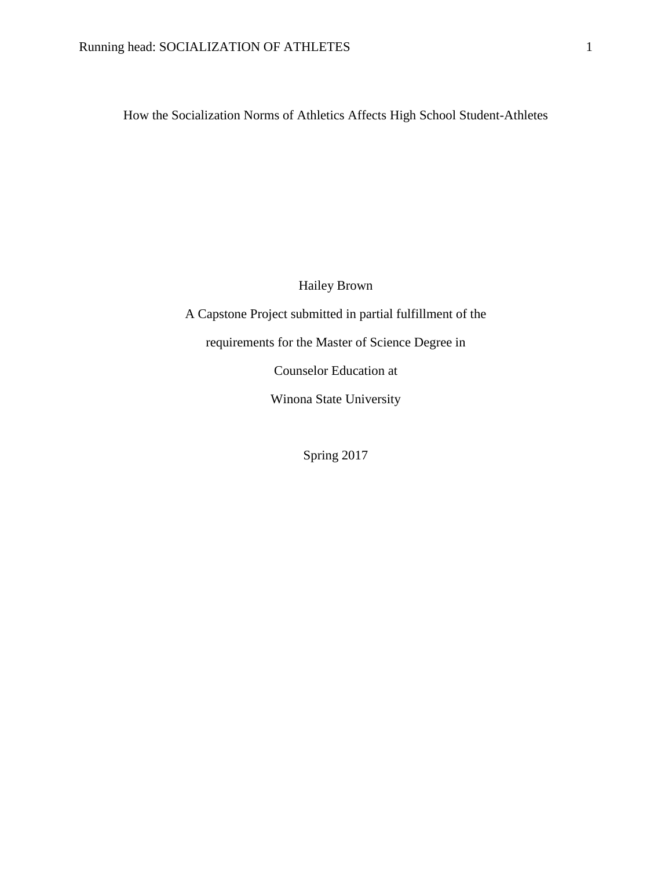How the Socialization Norms of Athletics Affects High School Student-Athletes

Hailey Brown

A Capstone Project submitted in partial fulfillment of the requirements for the Master of Science Degree in Counselor Education at Winona State University

Spring 2017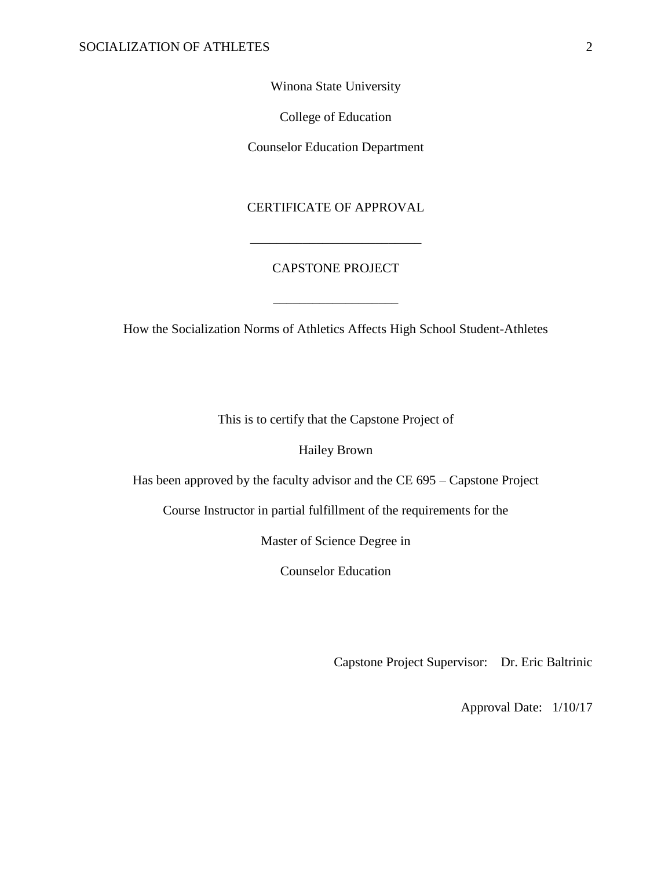Winona State University

College of Education

Counselor Education Department

## CERTIFICATE OF APPROVAL

\_\_\_\_\_\_\_\_\_\_\_\_\_\_\_\_\_\_\_\_\_\_\_\_\_\_

## CAPSTONE PROJECT

\_\_\_\_\_\_\_\_\_\_\_\_\_\_\_\_\_\_\_

How the Socialization Norms of Athletics Affects High School Student-Athletes

This is to certify that the Capstone Project of

Hailey Brown

Has been approved by the faculty advisor and the CE 695 – Capstone Project

Course Instructor in partial fulfillment of the requirements for the

Master of Science Degree in

Counselor Education

Capstone Project Supervisor: Dr. Eric Baltrinic

Approval Date: 1/10/17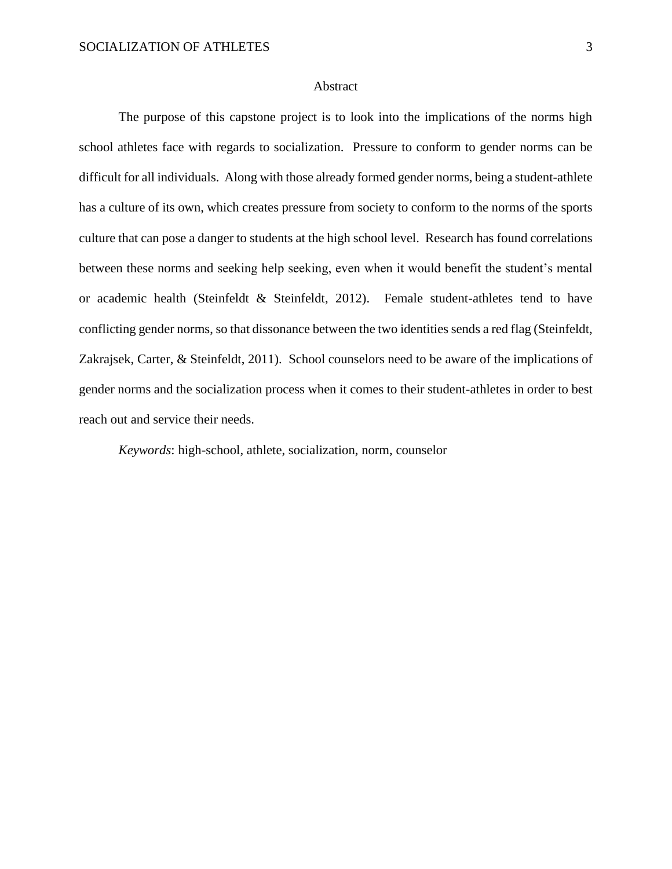#### Abstract

The purpose of this capstone project is to look into the implications of the norms high school athletes face with regards to socialization. Pressure to conform to gender norms can be difficult for all individuals. Along with those already formed gender norms, being a student-athlete has a culture of its own, which creates pressure from society to conform to the norms of the sports culture that can pose a danger to students at the high school level. Research has found correlations between these norms and seeking help seeking, even when it would benefit the student's mental or academic health (Steinfeldt & Steinfeldt, 2012). Female student-athletes tend to have conflicting gender norms, so that dissonance between the two identities sends a red flag (Steinfeldt, Zakrajsek, Carter, & Steinfeldt, 2011). School counselors need to be aware of the implications of gender norms and the socialization process when it comes to their student-athletes in order to best reach out and service their needs.

*Keywords*: high-school, athlete, socialization, norm, counselor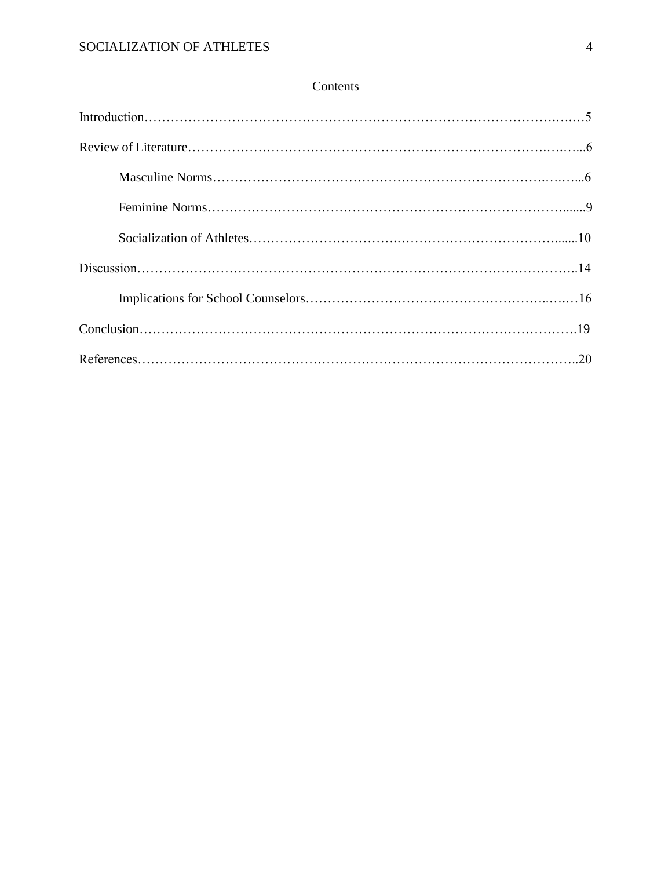## Contents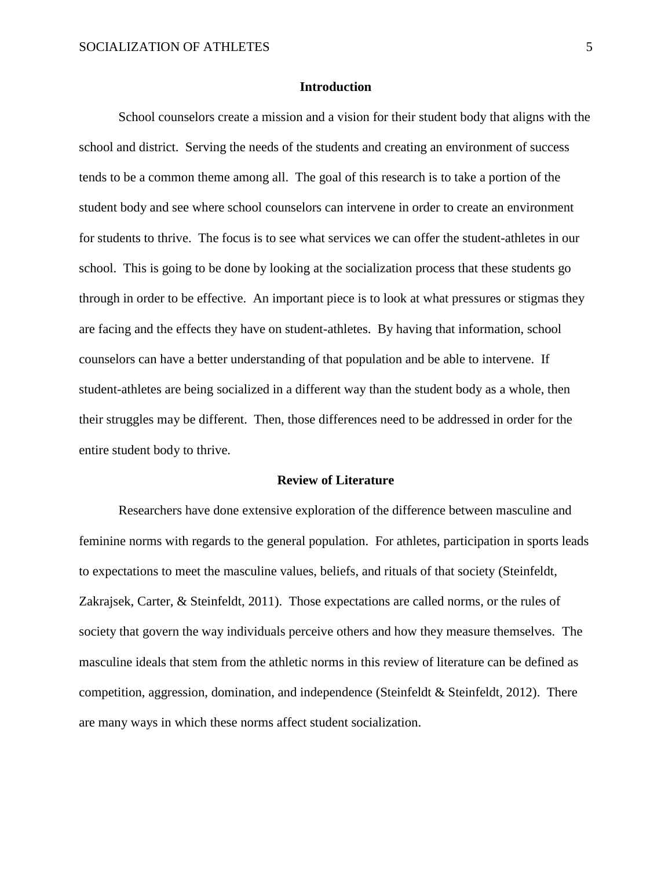#### **Introduction**

School counselors create a mission and a vision for their student body that aligns with the school and district. Serving the needs of the students and creating an environment of success tends to be a common theme among all. The goal of this research is to take a portion of the student body and see where school counselors can intervene in order to create an environment for students to thrive. The focus is to see what services we can offer the student-athletes in our school. This is going to be done by looking at the socialization process that these students go through in order to be effective. An important piece is to look at what pressures or stigmas they are facing and the effects they have on student-athletes. By having that information, school counselors can have a better understanding of that population and be able to intervene. If student-athletes are being socialized in a different way than the student body as a whole, then their struggles may be different. Then, those differences need to be addressed in order for the entire student body to thrive.

#### **Review of Literature**

Researchers have done extensive exploration of the difference between masculine and feminine norms with regards to the general population. For athletes, participation in sports leads to expectations to meet the masculine values, beliefs, and rituals of that society (Steinfeldt, Zakrajsek, Carter, & Steinfeldt, 2011). Those expectations are called norms, or the rules of society that govern the way individuals perceive others and how they measure themselves. The masculine ideals that stem from the athletic norms in this review of literature can be defined as competition, aggression, domination, and independence (Steinfeldt  $\&$  Steinfeldt, 2012). There are many ways in which these norms affect student socialization.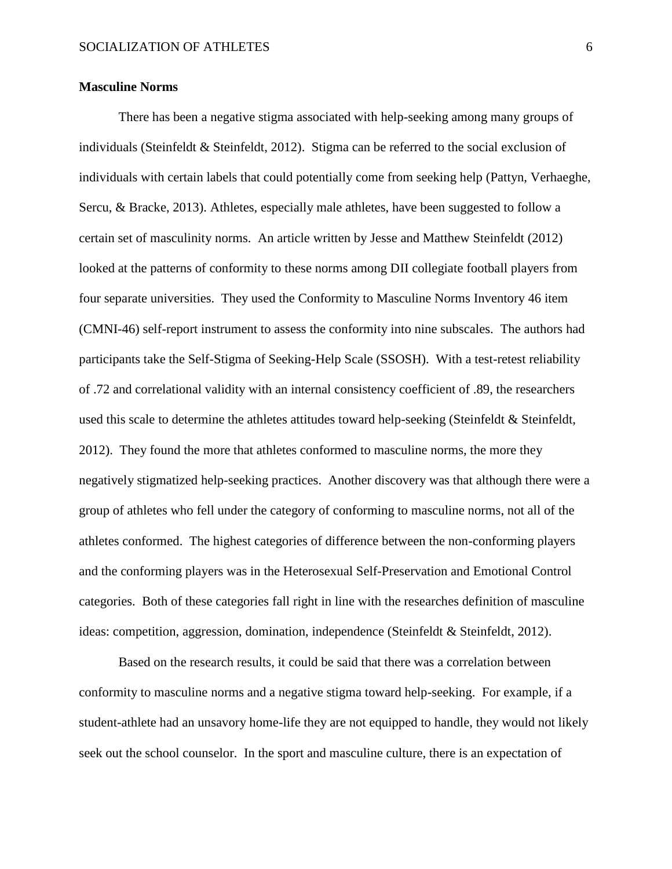#### **Masculine Norms**

There has been a negative stigma associated with help-seeking among many groups of individuals (Steinfeldt & Steinfeldt, 2012). Stigma can be referred to the social exclusion of individuals with certain labels that could potentially come from seeking help (Pattyn, Verhaeghe, Sercu, & Bracke, 2013). Athletes, especially male athletes, have been suggested to follow a certain set of masculinity norms. An article written by Jesse and Matthew Steinfeldt (2012) looked at the patterns of conformity to these norms among DII collegiate football players from four separate universities. They used the Conformity to Masculine Norms Inventory 46 item (CMNI-46) self-report instrument to assess the conformity into nine subscales. The authors had participants take the Self-Stigma of Seeking-Help Scale (SSOSH). With a test-retest reliability of .72 and correlational validity with an internal consistency coefficient of .89, the researchers used this scale to determine the athletes attitudes toward help-seeking (Steinfeldt & Steinfeldt, 2012). They found the more that athletes conformed to masculine norms, the more they negatively stigmatized help-seeking practices. Another discovery was that although there were a group of athletes who fell under the category of conforming to masculine norms, not all of the athletes conformed. The highest categories of difference between the non-conforming players and the conforming players was in the Heterosexual Self-Preservation and Emotional Control categories. Both of these categories fall right in line with the researches definition of masculine ideas: competition, aggression, domination, independence (Steinfeldt & Steinfeldt, 2012).

Based on the research results, it could be said that there was a correlation between conformity to masculine norms and a negative stigma toward help-seeking. For example, if a student-athlete had an unsavory home-life they are not equipped to handle, they would not likely seek out the school counselor. In the sport and masculine culture, there is an expectation of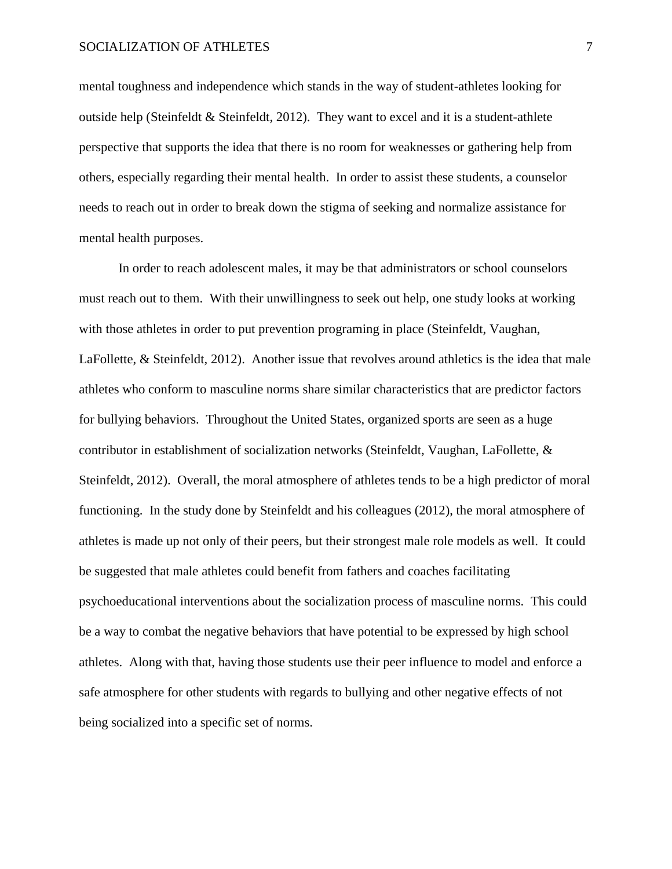mental toughness and independence which stands in the way of student-athletes looking for outside help (Steinfeldt & Steinfeldt, 2012). They want to excel and it is a student-athlete perspective that supports the idea that there is no room for weaknesses or gathering help from others, especially regarding their mental health. In order to assist these students, a counselor needs to reach out in order to break down the stigma of seeking and normalize assistance for mental health purposes.

In order to reach adolescent males, it may be that administrators or school counselors must reach out to them. With their unwillingness to seek out help, one study looks at working with those athletes in order to put prevention programing in place (Steinfeldt, Vaughan, LaFollette, & Steinfeldt, 2012). Another issue that revolves around athletics is the idea that male athletes who conform to masculine norms share similar characteristics that are predictor factors for bullying behaviors. Throughout the United States, organized sports are seen as a huge contributor in establishment of socialization networks (Steinfeldt, Vaughan, LaFollette, & Steinfeldt, 2012). Overall, the moral atmosphere of athletes tends to be a high predictor of moral functioning. In the study done by Steinfeldt and his colleagues (2012), the moral atmosphere of athletes is made up not only of their peers, but their strongest male role models as well. It could be suggested that male athletes could benefit from fathers and coaches facilitating psychoeducational interventions about the socialization process of masculine norms. This could be a way to combat the negative behaviors that have potential to be expressed by high school athletes. Along with that, having those students use their peer influence to model and enforce a safe atmosphere for other students with regards to bullying and other negative effects of not being socialized into a specific set of norms.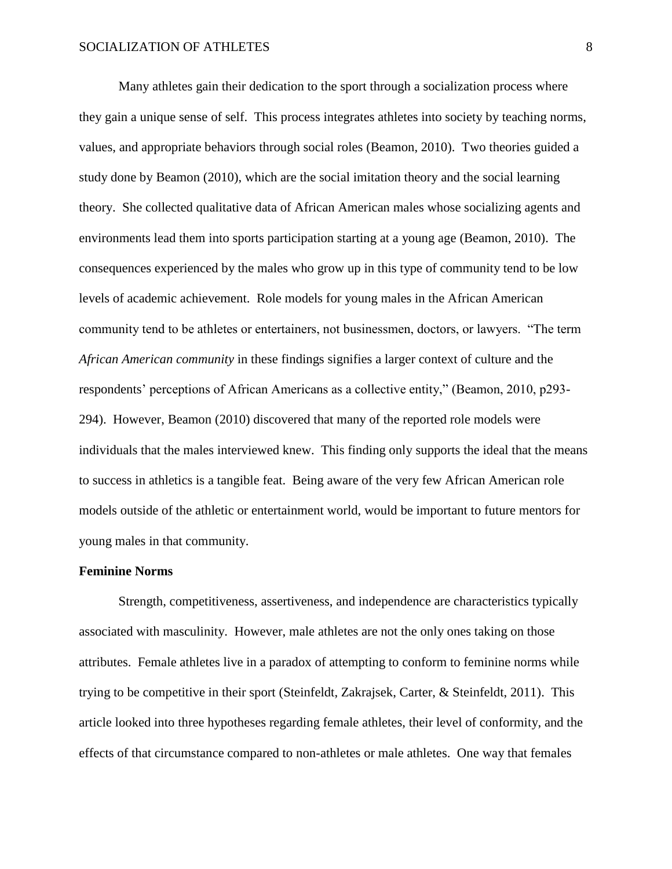Many athletes gain their dedication to the sport through a socialization process where they gain a unique sense of self. This process integrates athletes into society by teaching norms, values, and appropriate behaviors through social roles (Beamon, 2010). Two theories guided a study done by Beamon (2010), which are the social imitation theory and the social learning theory. She collected qualitative data of African American males whose socializing agents and environments lead them into sports participation starting at a young age (Beamon, 2010). The consequences experienced by the males who grow up in this type of community tend to be low levels of academic achievement. Role models for young males in the African American community tend to be athletes or entertainers, not businessmen, doctors, or lawyers. "The term *African American community* in these findings signifies a larger context of culture and the respondents' perceptions of African Americans as a collective entity," (Beamon, 2010, p293- 294). However, Beamon (2010) discovered that many of the reported role models were individuals that the males interviewed knew. This finding only supports the ideal that the means to success in athletics is a tangible feat. Being aware of the very few African American role models outside of the athletic or entertainment world, would be important to future mentors for young males in that community.

#### **Feminine Norms**

Strength, competitiveness, assertiveness, and independence are characteristics typically associated with masculinity. However, male athletes are not the only ones taking on those attributes. Female athletes live in a paradox of attempting to conform to feminine norms while trying to be competitive in their sport (Steinfeldt, Zakrajsek, Carter, & Steinfeldt, 2011). This article looked into three hypotheses regarding female athletes, their level of conformity, and the effects of that circumstance compared to non-athletes or male athletes. One way that females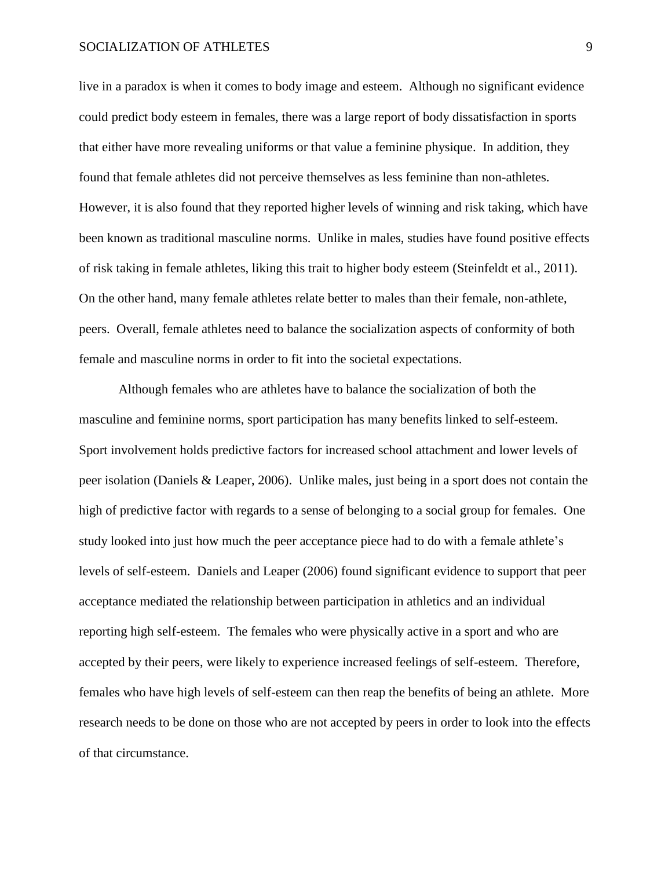#### SOCIALIZATION OF ATHLETES 9

live in a paradox is when it comes to body image and esteem. Although no significant evidence could predict body esteem in females, there was a large report of body dissatisfaction in sports that either have more revealing uniforms or that value a feminine physique. In addition, they found that female athletes did not perceive themselves as less feminine than non-athletes. However, it is also found that they reported higher levels of winning and risk taking, which have been known as traditional masculine norms. Unlike in males, studies have found positive effects of risk taking in female athletes, liking this trait to higher body esteem (Steinfeldt et al., 2011). On the other hand, many female athletes relate better to males than their female, non-athlete, peers. Overall, female athletes need to balance the socialization aspects of conformity of both female and masculine norms in order to fit into the societal expectations.

Although females who are athletes have to balance the socialization of both the masculine and feminine norms, sport participation has many benefits linked to self-esteem. Sport involvement holds predictive factors for increased school attachment and lower levels of peer isolation (Daniels & Leaper, 2006). Unlike males, just being in a sport does not contain the high of predictive factor with regards to a sense of belonging to a social group for females. One study looked into just how much the peer acceptance piece had to do with a female athlete's levels of self-esteem. Daniels and Leaper (2006) found significant evidence to support that peer acceptance mediated the relationship between participation in athletics and an individual reporting high self-esteem. The females who were physically active in a sport and who are accepted by their peers, were likely to experience increased feelings of self-esteem. Therefore, females who have high levels of self-esteem can then reap the benefits of being an athlete. More research needs to be done on those who are not accepted by peers in order to look into the effects of that circumstance.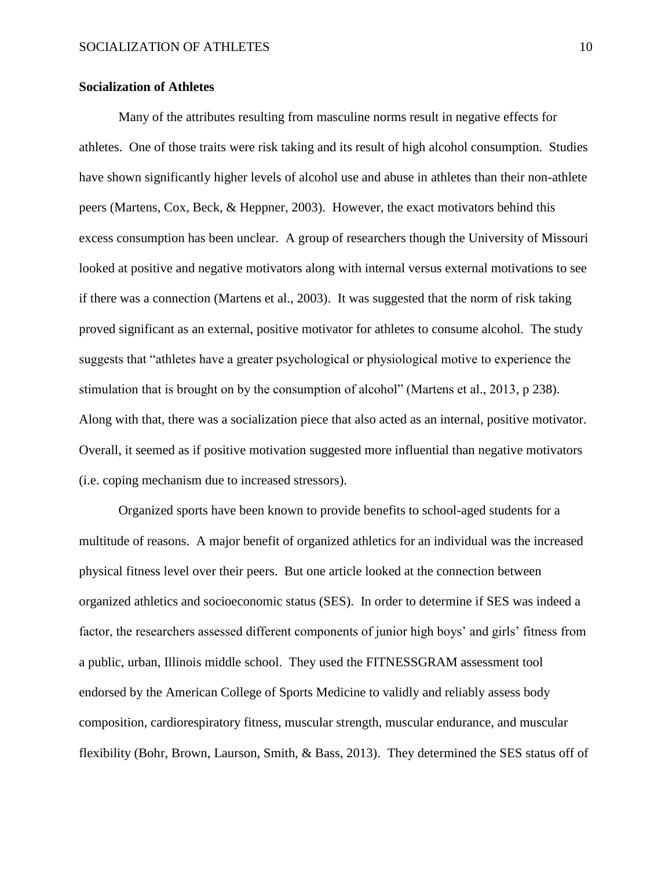#### **Socialization of Athletes**

Many of the attributes resulting from masculine norms result in negative effects for athletes. One of those traits were risk taking and its result of high alcohol consumption. Studies have shown significantly higher levels of alcohol use and abuse in athletes than their non-athlete peers (Martens, Cox, Beck, & Heppner, 2003). However, the exact motivators behind this excess consumption has been unclear. A group of researchers though the University of Missouri looked at positive and negative motivators along with internal versus external motivations to see if there was a connection (Martens et al., 2003). It was suggested that the norm of risk taking proved significant as an external, positive motivator for athletes to consume alcohol. The study suggests that "athletes have a greater psychological or physiological motive to experience the stimulation that is brought on by the consumption of alcohol" (Martens et al., 2013, p 238). Along with that, there was a socialization piece that also acted as an internal, positive motivator. Overall, it seemed as if positive motivation suggested more influential than negative motivators (i.e. coping mechanism due to increased stressors).

Organized sports have been known to provide benefits to school-aged students for a multitude of reasons. A major benefit of organized athletics for an individual was the increased physical fitness level over their peers. But one article looked at the connection between organized athletics and socioeconomic status (SES). In order to determine if SES was indeed a factor, the researchers assessed different components of junior high boys' and girls' fitness from a public, urban, Illinois middle school. They used the FITNESSGRAM assessment tool endorsed by the American College of Sports Medicine to validly and reliably assess body composition, cardiorespiratory fitness, muscular strength, muscular endurance, and muscular flexibility (Bohr, Brown, Laurson, Smith, & Bass, 2013). They determined the SES status off of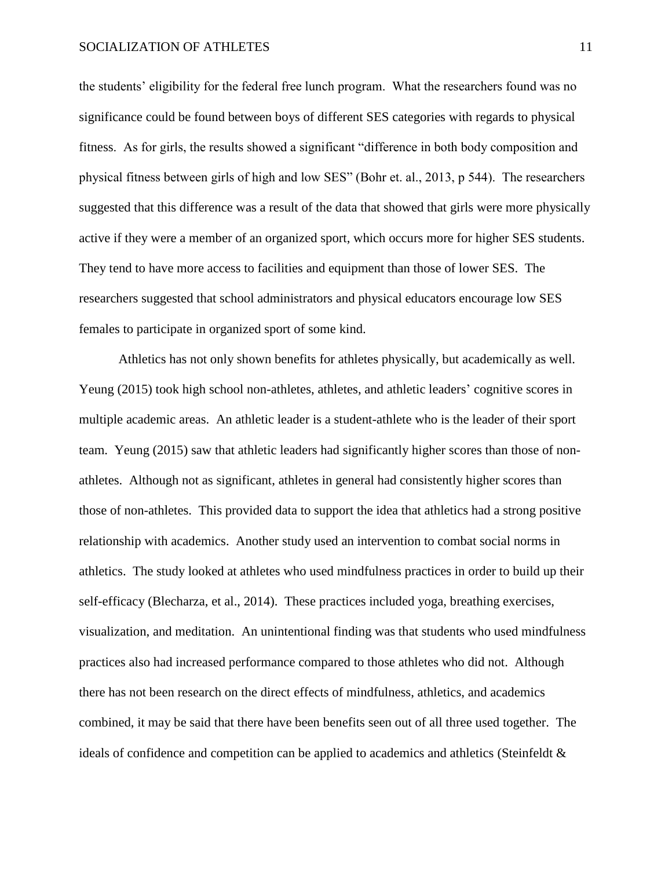the students' eligibility for the federal free lunch program. What the researchers found was no significance could be found between boys of different SES categories with regards to physical fitness. As for girls, the results showed a significant "difference in both body composition and physical fitness between girls of high and low SES" (Bohr et. al., 2013, p 544). The researchers suggested that this difference was a result of the data that showed that girls were more physically active if they were a member of an organized sport, which occurs more for higher SES students. They tend to have more access to facilities and equipment than those of lower SES. The researchers suggested that school administrators and physical educators encourage low SES females to participate in organized sport of some kind.

Athletics has not only shown benefits for athletes physically, but academically as well. Yeung (2015) took high school non-athletes, athletes, and athletic leaders' cognitive scores in multiple academic areas. An athletic leader is a student-athlete who is the leader of their sport team. Yeung (2015) saw that athletic leaders had significantly higher scores than those of nonathletes. Although not as significant, athletes in general had consistently higher scores than those of non-athletes. This provided data to support the idea that athletics had a strong positive relationship with academics. Another study used an intervention to combat social norms in athletics. The study looked at athletes who used mindfulness practices in order to build up their self-efficacy (Blecharza, et al., 2014). These practices included yoga, breathing exercises, visualization, and meditation. An unintentional finding was that students who used mindfulness practices also had increased performance compared to those athletes who did not. Although there has not been research on the direct effects of mindfulness, athletics, and academics combined, it may be said that there have been benefits seen out of all three used together. The ideals of confidence and competition can be applied to academics and athletics (Steinfeldt &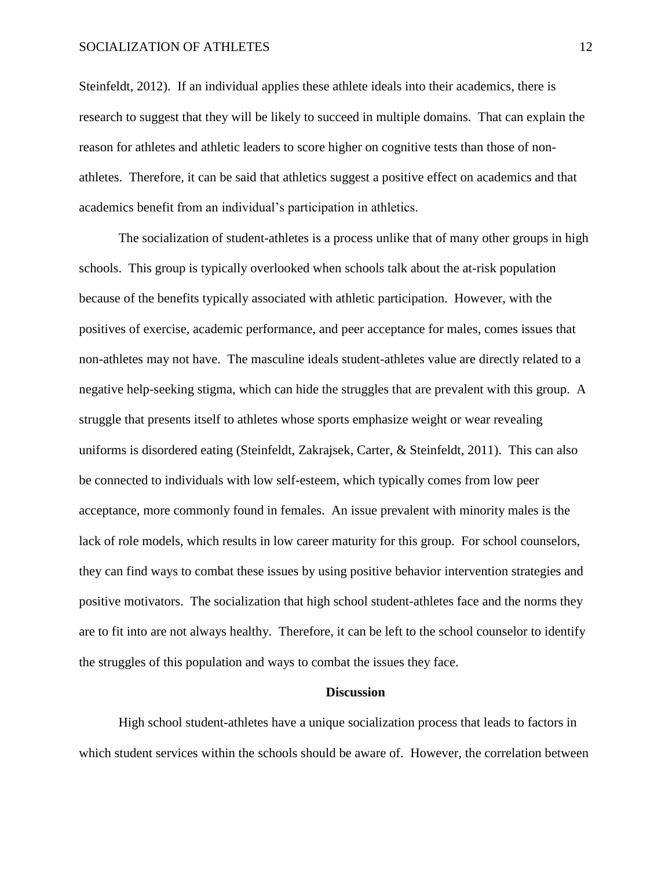#### SOCIALIZATION OF ATHLETES 12

Steinfeldt, 2012). If an individual applies these athlete ideals into their academics, there is research to suggest that they will be likely to succeed in multiple domains. That can explain the reason for athletes and athletic leaders to score higher on cognitive tests than those of nonathletes. Therefore, it can be said that athletics suggest a positive effect on academics and that academics benefit from an individual's participation in athletics.

The socialization of student-athletes is a process unlike that of many other groups in high schools. This group is typically overlooked when schools talk about the at-risk population because of the benefits typically associated with athletic participation. However, with the positives of exercise, academic performance, and peer acceptance for males, comes issues that non-athletes may not have. The masculine ideals student-athletes value are directly related to a negative help-seeking stigma, which can hide the struggles that are prevalent with this group. A struggle that presents itself to athletes whose sports emphasize weight or wear revealing uniforms is disordered eating (Steinfeldt, Zakrajsek, Carter, & Steinfeldt, 2011). This can also be connected to individuals with low self-esteem, which typically comes from low peer acceptance, more commonly found in females. An issue prevalent with minority males is the lack of role models, which results in low career maturity for this group. For school counselors, they can find ways to combat these issues by using positive behavior intervention strategies and positive motivators. The socialization that high school student-athletes face and the norms they are to fit into are not always healthy. Therefore, it can be left to the school counselor to identify the struggles of this population and ways to combat the issues they face.

#### **Discussion**

High school student-athletes have a unique socialization process that leads to factors in which student services within the schools should be aware of. However, the correlation between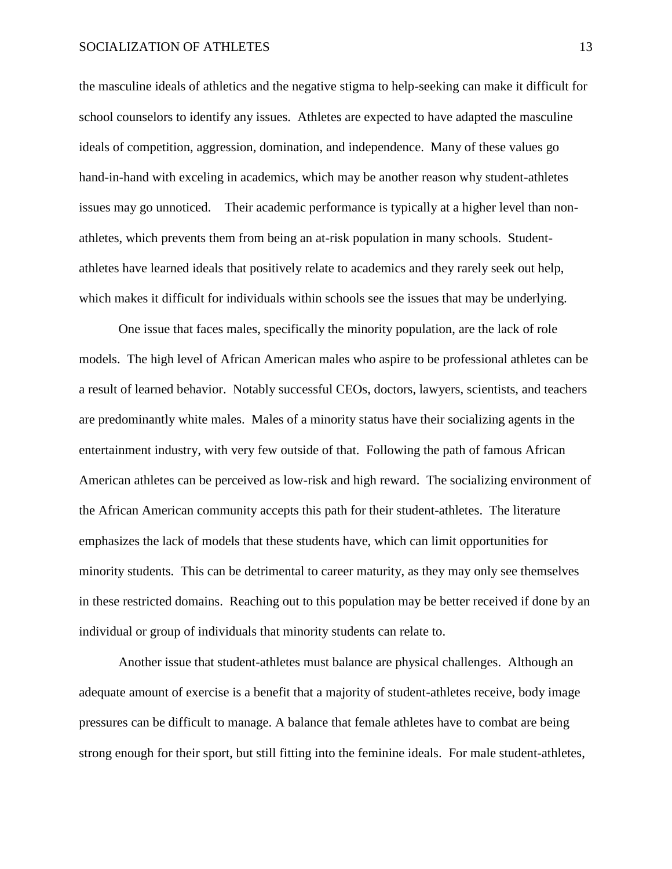the masculine ideals of athletics and the negative stigma to help-seeking can make it difficult for school counselors to identify any issues. Athletes are expected to have adapted the masculine ideals of competition, aggression, domination, and independence. Many of these values go hand-in-hand with exceling in academics, which may be another reason why student-athletes issues may go unnoticed. Their academic performance is typically at a higher level than nonathletes, which prevents them from being an at-risk population in many schools. Studentathletes have learned ideals that positively relate to academics and they rarely seek out help, which makes it difficult for individuals within schools see the issues that may be underlying.

One issue that faces males, specifically the minority population, are the lack of role models. The high level of African American males who aspire to be professional athletes can be a result of learned behavior. Notably successful CEOs, doctors, lawyers, scientists, and teachers are predominantly white males. Males of a minority status have their socializing agents in the entertainment industry, with very few outside of that. Following the path of famous African American athletes can be perceived as low-risk and high reward. The socializing environment of the African American community accepts this path for their student-athletes. The literature emphasizes the lack of models that these students have, which can limit opportunities for minority students. This can be detrimental to career maturity, as they may only see themselves in these restricted domains. Reaching out to this population may be better received if done by an individual or group of individuals that minority students can relate to.

Another issue that student-athletes must balance are physical challenges. Although an adequate amount of exercise is a benefit that a majority of student-athletes receive, body image pressures can be difficult to manage. A balance that female athletes have to combat are being strong enough for their sport, but still fitting into the feminine ideals. For male student-athletes,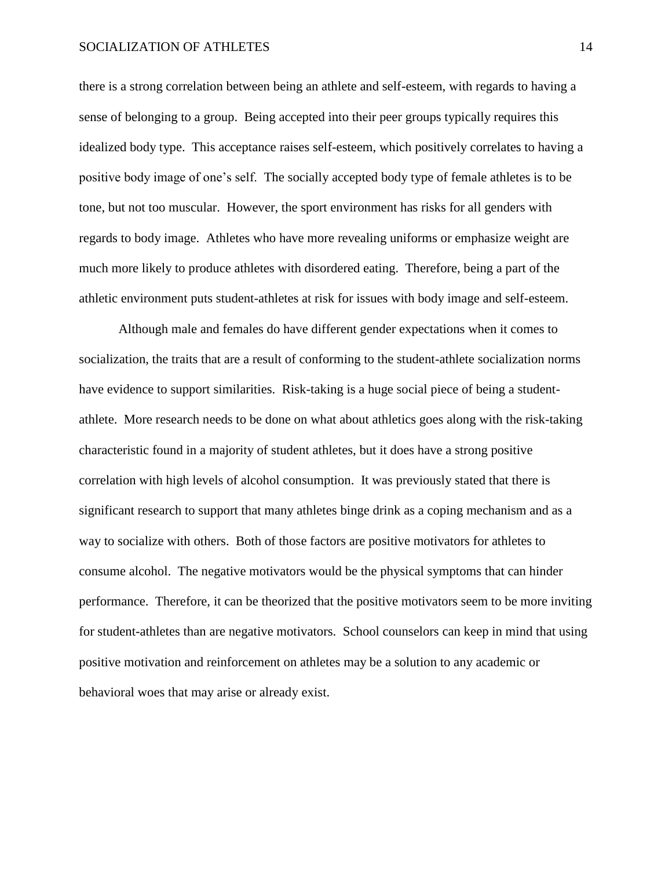#### SOCIALIZATION OF ATHLETES 14

there is a strong correlation between being an athlete and self-esteem, with regards to having a sense of belonging to a group. Being accepted into their peer groups typically requires this idealized body type. This acceptance raises self-esteem, which positively correlates to having a positive body image of one's self. The socially accepted body type of female athletes is to be tone, but not too muscular. However, the sport environment has risks for all genders with regards to body image. Athletes who have more revealing uniforms or emphasize weight are much more likely to produce athletes with disordered eating. Therefore, being a part of the athletic environment puts student-athletes at risk for issues with body image and self-esteem.

Although male and females do have different gender expectations when it comes to socialization, the traits that are a result of conforming to the student-athlete socialization norms have evidence to support similarities. Risk-taking is a huge social piece of being a studentathlete. More research needs to be done on what about athletics goes along with the risk-taking characteristic found in a majority of student athletes, but it does have a strong positive correlation with high levels of alcohol consumption. It was previously stated that there is significant research to support that many athletes binge drink as a coping mechanism and as a way to socialize with others. Both of those factors are positive motivators for athletes to consume alcohol. The negative motivators would be the physical symptoms that can hinder performance. Therefore, it can be theorized that the positive motivators seem to be more inviting for student-athletes than are negative motivators. School counselors can keep in mind that using positive motivation and reinforcement on athletes may be a solution to any academic or behavioral woes that may arise or already exist.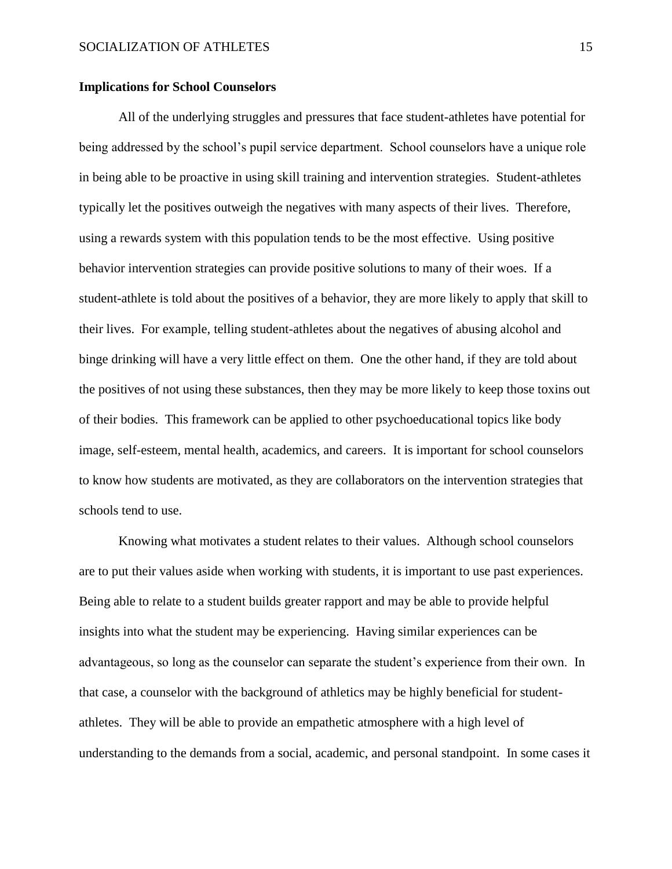#### **Implications for School Counselors**

All of the underlying struggles and pressures that face student-athletes have potential for being addressed by the school's pupil service department. School counselors have a unique role in being able to be proactive in using skill training and intervention strategies. Student-athletes typically let the positives outweigh the negatives with many aspects of their lives. Therefore, using a rewards system with this population tends to be the most effective. Using positive behavior intervention strategies can provide positive solutions to many of their woes. If a student-athlete is told about the positives of a behavior, they are more likely to apply that skill to their lives. For example, telling student-athletes about the negatives of abusing alcohol and binge drinking will have a very little effect on them. One the other hand, if they are told about the positives of not using these substances, then they may be more likely to keep those toxins out of their bodies. This framework can be applied to other psychoeducational topics like body image, self-esteem, mental health, academics, and careers. It is important for school counselors to know how students are motivated, as they are collaborators on the intervention strategies that schools tend to use.

Knowing what motivates a student relates to their values. Although school counselors are to put their values aside when working with students, it is important to use past experiences. Being able to relate to a student builds greater rapport and may be able to provide helpful insights into what the student may be experiencing. Having similar experiences can be advantageous, so long as the counselor can separate the student's experience from their own. In that case, a counselor with the background of athletics may be highly beneficial for studentathletes. They will be able to provide an empathetic atmosphere with a high level of understanding to the demands from a social, academic, and personal standpoint. In some cases it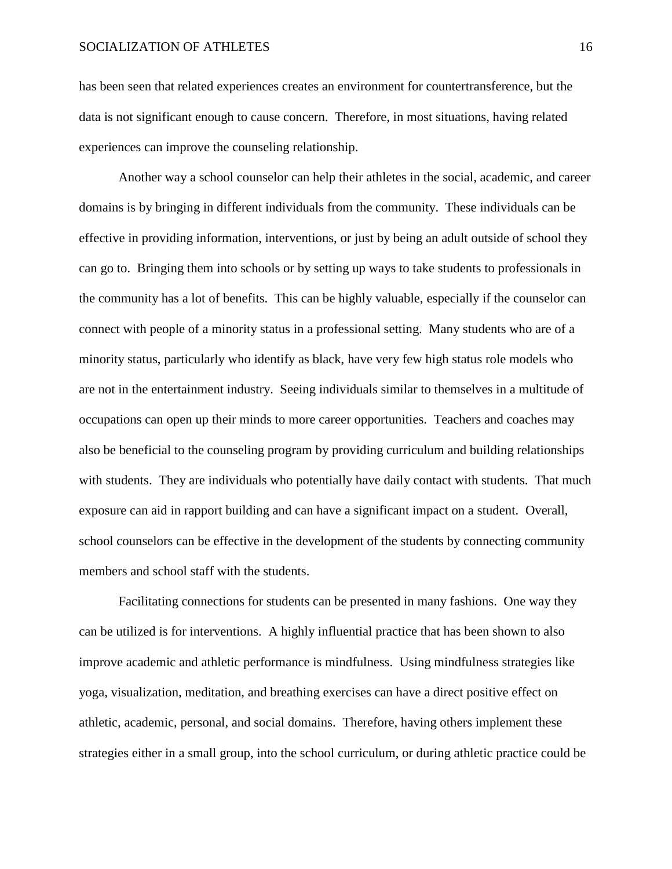has been seen that related experiences creates an environment for countertransference, but the data is not significant enough to cause concern. Therefore, in most situations, having related experiences can improve the counseling relationship.

Another way a school counselor can help their athletes in the social, academic, and career domains is by bringing in different individuals from the community. These individuals can be effective in providing information, interventions, or just by being an adult outside of school they can go to. Bringing them into schools or by setting up ways to take students to professionals in the community has a lot of benefits. This can be highly valuable, especially if the counselor can connect with people of a minority status in a professional setting. Many students who are of a minority status, particularly who identify as black, have very few high status role models who are not in the entertainment industry. Seeing individuals similar to themselves in a multitude of occupations can open up their minds to more career opportunities. Teachers and coaches may also be beneficial to the counseling program by providing curriculum and building relationships with students. They are individuals who potentially have daily contact with students. That much exposure can aid in rapport building and can have a significant impact on a student. Overall, school counselors can be effective in the development of the students by connecting community members and school staff with the students.

Facilitating connections for students can be presented in many fashions. One way they can be utilized is for interventions. A highly influential practice that has been shown to also improve academic and athletic performance is mindfulness. Using mindfulness strategies like yoga, visualization, meditation, and breathing exercises can have a direct positive effect on athletic, academic, personal, and social domains. Therefore, having others implement these strategies either in a small group, into the school curriculum, or during athletic practice could be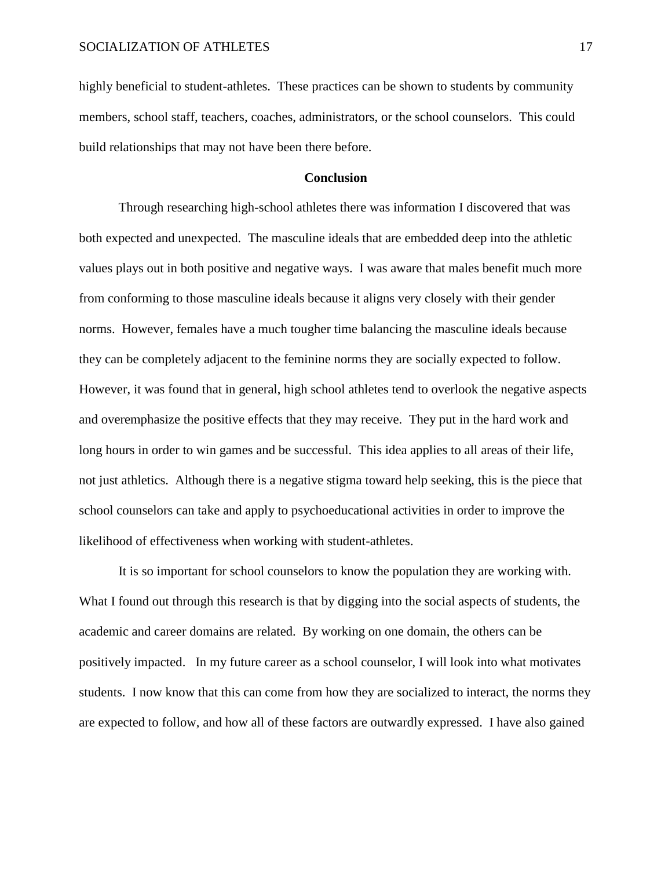highly beneficial to student-athletes. These practices can be shown to students by community members, school staff, teachers, coaches, administrators, or the school counselors. This could build relationships that may not have been there before.

### **Conclusion**

Through researching high-school athletes there was information I discovered that was both expected and unexpected. The masculine ideals that are embedded deep into the athletic values plays out in both positive and negative ways. I was aware that males benefit much more from conforming to those masculine ideals because it aligns very closely with their gender norms. However, females have a much tougher time balancing the masculine ideals because they can be completely adjacent to the feminine norms they are socially expected to follow. However, it was found that in general, high school athletes tend to overlook the negative aspects and overemphasize the positive effects that they may receive. They put in the hard work and long hours in order to win games and be successful. This idea applies to all areas of their life, not just athletics. Although there is a negative stigma toward help seeking, this is the piece that school counselors can take and apply to psychoeducational activities in order to improve the likelihood of effectiveness when working with student-athletes.

It is so important for school counselors to know the population they are working with. What I found out through this research is that by digging into the social aspects of students, the academic and career domains are related. By working on one domain, the others can be positively impacted. In my future career as a school counselor, I will look into what motivates students. I now know that this can come from how they are socialized to interact, the norms they are expected to follow, and how all of these factors are outwardly expressed. I have also gained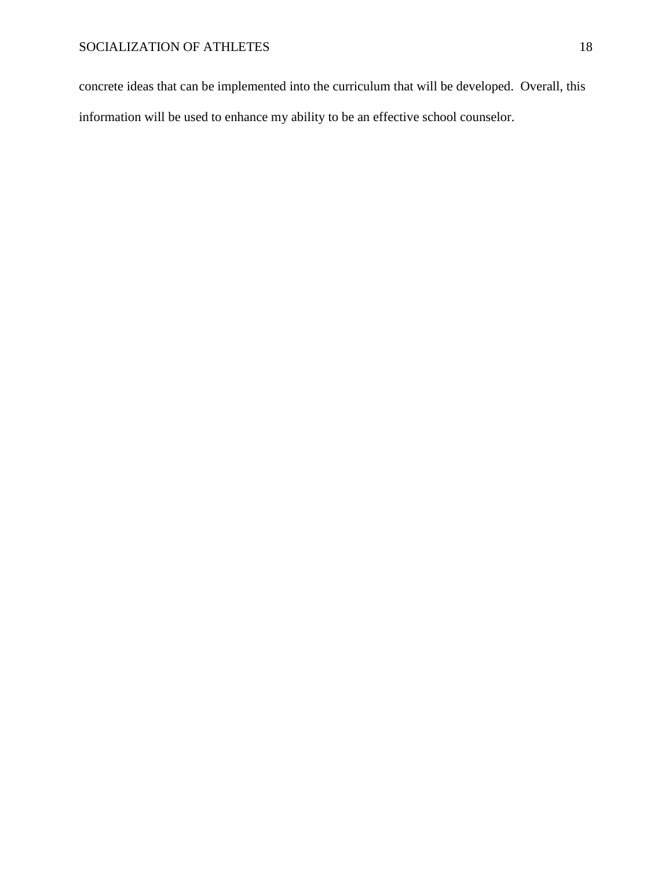concrete ideas that can be implemented into the curriculum that will be developed. Overall, this information will be used to enhance my ability to be an effective school counselor.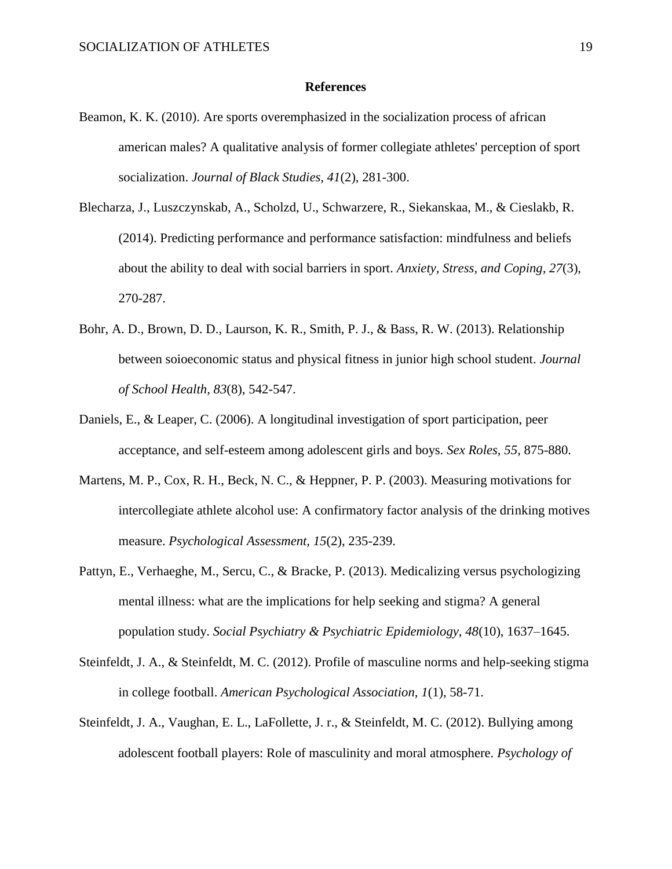#### **References**

- Beamon, K. K. (2010). Are sports overemphasized in the socialization process of african american males? A qualitative analysis of former collegiate athletes' perception of sport socialization. *Journal of Black Studies, 41*(2), 281-300.
- Blecharza, J., Luszczynskab, A., Scholzd, U., Schwarzere, R., Siekanskaa, M., & Cieslakb, R. (2014). Predicting performance and performance satisfaction: mindfulness and beliefs about the ability to deal with social barriers in sport. *Anxiety, Stress, and Coping, 27*(3), 270-287.
- Bohr, A. D., Brown, D. D., Laurson, K. R., Smith, P. J., & Bass, R. W. (2013). Relationship between soioeconomic status and physical fitness in junior high school student. *Journal of School Health, 83*(8), 542-547.
- Daniels, E., & Leaper, C. (2006). A longitudinal investigation of sport participation, peer acceptance, and self-esteem among adolescent girls and boys. *Sex Roles, 55*, 875-880.
- Martens, M. P., Cox, R. H., Beck, N. C., & Heppner, P. P. (2003). Measuring motivations for intercollegiate athlete alcohol use: A confirmatory factor analysis of the drinking motives measure. *Psychological Assessment, 15*(2), 235-239.
- Pattyn, E., Verhaeghe, M., Sercu, C., & Bracke, P. (2013). Medicalizing versus psychologizing mental illness: what are the implications for help seeking and stigma? A general population study. *Social Psychiatry & Psychiatric Epidemiology, 48*(10), 1637–1645.
- Steinfeldt, J. A., & Steinfeldt, M. C. (2012). Profile of masculine norms and help-seeking stigma in college football. *American Psychological Association, 1*(1), 58-71.
- Steinfeldt, J. A., Vaughan, E. L., LaFollette, J. r., & Steinfeldt, M. C. (2012). Bullying among adolescent football players: Role of masculinity and moral atmosphere. *Psychology of*